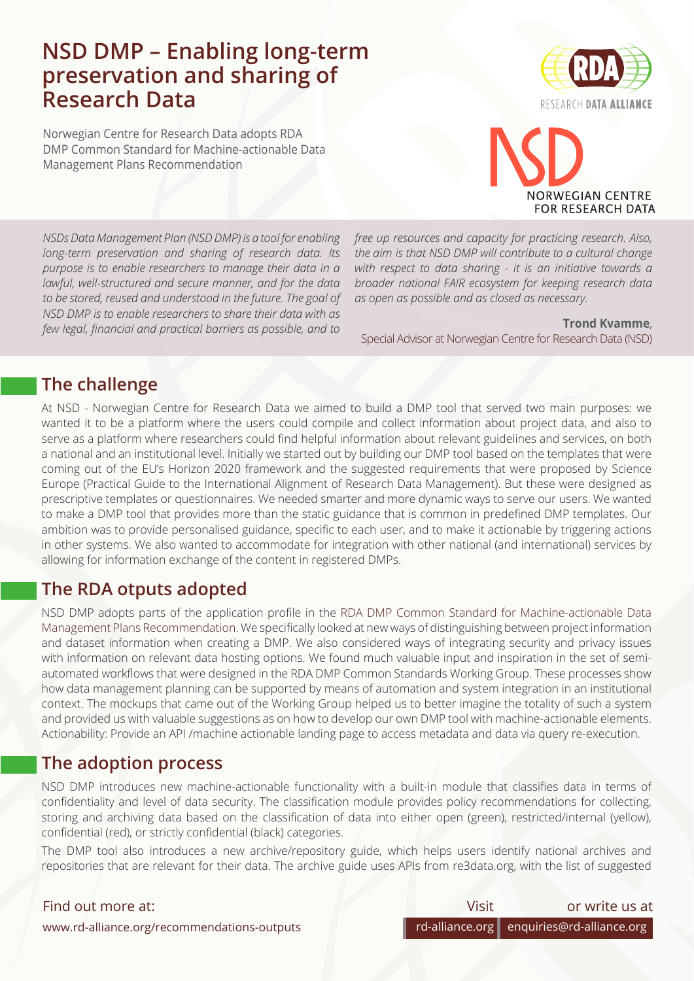## **NSD DMP – Enabling long-term preservation and sharing of Research Data**

Norwegian Centre for Research Data adopts RDA DMP Common Standard for Machine-actionable Data Management Plans Recommendation



# **JORWEGIAN CENTRE FOR RESEARCH DATA**

*NSDs Data Management Plan (NSD DMP) is a tool for enabling long-term preservation and sharing of research data. Its purpose is to enable researchers to manage their data in a lawful, well-structured and secure manner, and for the data to be stored, reused and understood in the future. The goal of NSD DMP is to enable researchers to share their data with as few legal, financial and practical barriers as possible, and to* 

*free up resources and capacity for practicing research. Also, the aim is that NSD DMP will contribute to a cultural change with respect to data sharing - it is an initiative towards a broader national FAIR ecosystem for keeping research data as open as possible and as closed as necessary.*

**Trond Kvamme**[,](mailto:mikaela.lawrence%40csiro.au?subject=)  Special Advisor at Norwegian Centre for Research Data (NSD)

## **The challenge**

At NSD - Norwegian Centre for Research Data we aimed to build a DMP tool that served two main purposes: we wanted it to be a platform where the users could compile and collect information about project data, and also to serve as a platform where researchers could find helpful information about relevant guidelines and services, on both a national and an institutional level. Initially we started out by building our DMP tool based on the templates that were coming out of the EU's Horizon 2020 framework and the suggested requirements that were proposed by Science Europe (Practical Guide to the International Alignment of Research Data Management). But these were designed as prescriptive templates or questionnaires. We needed smarter and more dynamic ways to serve our users. We wanted to make a DMP tool that provides more than the static guidance that is common in predefined DMP templates. Our ambition was to provide personalised guidance, specific to each user, and to make it actionable by triggering actions in other systems. We also wanted to accommodate for integration with other national (and international) services by allowing for information exchange of the content in registered DMPs.

## **The RDA otputs adopted**

NSD DMP adopts parts of the application profile in the [RDA DMP Common Standard for Machine-actionable Data](http://RDA DMP Common Standard for Machine-actionable Data Management Plans Recommendation) [Management Plans Recommendation](http://RDA DMP Common Standard for Machine-actionable Data Management Plans Recommendation). We specifically looked at new ways of distinguishing between project information and dataset information when creating a DMP. We also considered ways of integrating security and privacy issues with information on relevant data hosting options. We found much valuable input and inspiration in the set of semiautomated workflows that were designed in the RDA DMP Common Standards Working Group. These processes show how data management planning can be supported by means of automation and system integration in an institutional context. The mockups that came out of the Working Group helped us to better imagine the totality of such a system and provided us with valuable suggestions as on how to develop our own DMP tool with machine-actionable elements. Actionability: Provide an API /machine actionable landing page to access metadata and data via query re-execution.

## **The adoption process**

NSD DMP introduces new machine-actionable functionality with a built-in module that classifies data in terms of confidentiality and level of data security. The classification module provides policy recommendations for collecting, storing and archiving data based on the classification of data into either open (green), restricted/internal (yellow), confidential (red), or strictly confidential (black) categories.

The DMP tool also introduces a new archive/repository guide, which helps users identify national archives and repositories that are relevant for their data. The archive guide uses APIs from re3data.org, with the list of suggested

#### Find out more at:

| Visit | or write us at                            |
|-------|-------------------------------------------|
|       | rd-alliance.org enquiries@rd-alliance.org |

www.rd-alliance.org/recommendations-outputs